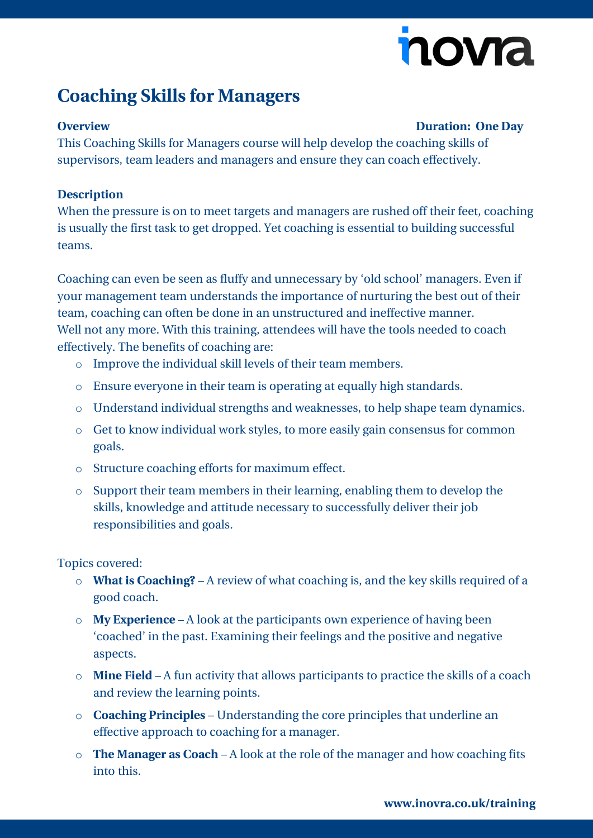# novia

## **Coaching Skills for Managers**

#### **Overview Duration: One Day**

This Coaching Skills for Managers course will help develop the coaching skills of supervisors, team leaders and managers and ensure they can coach effectively.

### **Description**

When the pressure is on to meet targets and managers are rushed off their feet, coaching is usually the first task to get dropped. Yet coaching is essential to building successful teams.

Coaching can even be seen as fluffy and unnecessary by 'old school' managers. Even if your management team understands the importance of nurturing the best out of their team, coaching can often be done in an unstructured and ineffective manner. Well not any more. With this training, attendees will have the tools needed to coach effectively. The benefits of coaching are:

- o Improve the individual skill levels of their team members.
- o Ensure everyone in their team is operating at equally high standards.
- o Understand individual strengths and weaknesses, to help shape team dynamics.
- o Get to know individual work styles, to more easily gain consensus for common goals.
- o Structure coaching efforts for maximum effect.
- o Support their team members in their learning, enabling them to develop the skills, knowledge and attitude necessary to successfully deliver their job responsibilities and goals.

Topics covered:

- o **What is Coaching?** A review of what coaching is, and the key skills required of a good coach.
- o **My Experience** A look at the participants own experience of having been 'coached' in the past. Examining their feelings and the positive and negative aspects.
- o **Mine Field** A fun activity that allows participants to practice the skills of a coach and review the learning points.
- o **Coaching Principles** Understanding the core principles that underline an effective approach to coaching for a manager.
- o **The Manager as Coach** A look at the role of the manager and how coaching fits into this.